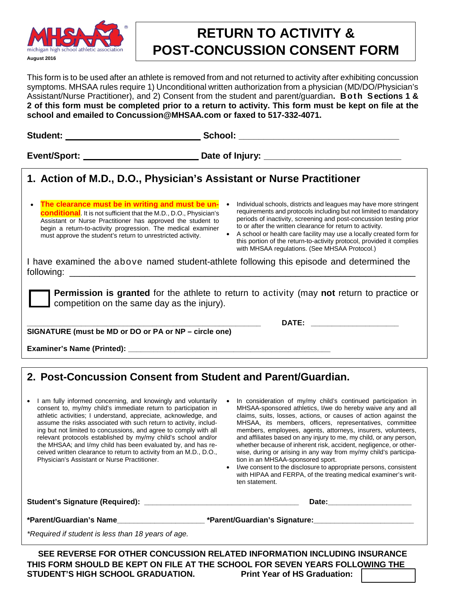

## **RETURN TO ACTIVITY & POST-CONCUSSION CONSENT FORM**

This form is to be used after an athlete is removed from and not returned to activity after exhibiting concussion symptoms. MHSAA rules require 1) Unconditional written authorization from a physician (MD/DO/Physician's Assistant/Nurse Practitioner), and 2) Consent from the student and parent/guardian**. Both Sections 1 & 2 of this form must be completed prior to a return to activity. This form must be kept on file at the school and emailed to Concussion@MHSAA.com or faxed to 517-332-4071.**

| 1. Action of M.D., D.O., Physician's Assistant or Nurse Practitioner                                                                                                                                                                                                                                                                                   |                                                                                                                                                                                                                                                                                                                                                                                                                                                                            |
|--------------------------------------------------------------------------------------------------------------------------------------------------------------------------------------------------------------------------------------------------------------------------------------------------------------------------------------------------------|----------------------------------------------------------------------------------------------------------------------------------------------------------------------------------------------------------------------------------------------------------------------------------------------------------------------------------------------------------------------------------------------------------------------------------------------------------------------------|
| The clearance must be in writing and must be un-<br>$\bullet$<br>$\bullet$<br><b>conditional</b> . It is not sufficient that the M.D., D.O., Physician's<br>Assistant or Nurse Practitioner has approved the student to<br>begin a return-to-activity progression. The medical examiner<br>must approve the student's return to unrestricted activity. | Individual schools, districts and leagues may have more stringent<br>requirements and protocols including but not limited to mandatory<br>periods of inactivity, screening and post-concussion testing prior<br>to or after the written clearance for return to activity.<br>A school or health care facility may use a locally created form for<br>this portion of the return-to-activity protocol, provided it complies<br>with MHSAA regulations. (See MHSAA Protocol.) |
| I have examined the above named student-athlete following this episode and determined the                                                                                                                                                                                                                                                              |                                                                                                                                                                                                                                                                                                                                                                                                                                                                            |
| <b>Permission is granted</b> for the athlete to return to activity (may not return to practice or<br>competition on the same day as the injury).                                                                                                                                                                                                       |                                                                                                                                                                                                                                                                                                                                                                                                                                                                            |
| SIGNATURE (must be MD or DO or PA or NP - circle one)                                                                                                                                                                                                                                                                                                  | DATE: _______________________                                                                                                                                                                                                                                                                                                                                                                                                                                              |
|                                                                                                                                                                                                                                                                                                                                                        |                                                                                                                                                                                                                                                                                                                                                                                                                                                                            |
|                                                                                                                                                                                                                                                                                                                                                        |                                                                                                                                                                                                                                                                                                                                                                                                                                                                            |
|                                                                                                                                                                                                                                                                                                                                                        |                                                                                                                                                                                                                                                                                                                                                                                                                                                                            |
| 2. Post-Concussion Consent from Student and Parent/Guardian.                                                                                                                                                                                                                                                                                           |                                                                                                                                                                                                                                                                                                                                                                                                                                                                            |

- I am fully informed concerning, and knowingly and voluntarily consent to, my/my child's immediate return to participation in athletic activities; I understand, appreciate, acknowledge, and assume the risks associated with such return to activity, including but not limited to concussions, and agree to comply with all relevant protocols established by my/my child's school and/or the MHSAA; and I/my child has been evaluated by, and has received written clearance to return to activity from an M.D., D.O., Physician's Assistant or Nurse Practitioner.
- In consideration of my/my child's continued participation in MHSAA-sponsored athletics, I/we do hereby waive any and all claims, suits, losses, actions, or causes of action against the MHSAA, its members, officers, representatives, committee members, employees, agents, attorneys, insurers, volunteers, and affiliates based on any injury to me, my child, or any person, whether because of inherent risk, accident, negligence, or otherwise, during or arising in any way from my/my child's participation in an MHSAA-sponsored sport.
- I/we consent to the disclosure to appropriate persons, consistent with HIPAA and FERPA, of the treating medical examiner's written statement.

**Student's Signature (Required): \_\_\_\_\_\_\_\_\_\_\_\_\_\_\_\_\_\_\_\_\_\_\_\_\_\_\_\_\_\_\_\_\_\_\_\_\_ Date:\_\_\_\_\_\_\_\_\_\_\_\_\_\_\_\_\_\_\_\_ \*Parent/Guardian's Name\_\_\_\_\_\_\_\_\_\_\_\_\_\_\_\_\_\_\_\_\_ \*Parent/Guardian's Signature:\_\_\_\_\_\_\_\_\_\_\_\_\_\_\_\_\_\_\_\_\_\_\_\_** *\*Required if student is less than 18 years of age.* **SEE REVERSE FOR OTHER CONCUSSION RELATED INFORMATION INCLUDING INSURANCE**

**THIS FORM SHOULD BE KEPT ON FILE AT THE SCHOOL FOR SEVEN YEARS FOLLOWING THE STUDENT'S HIGH SCHOOL GRADUATION.**